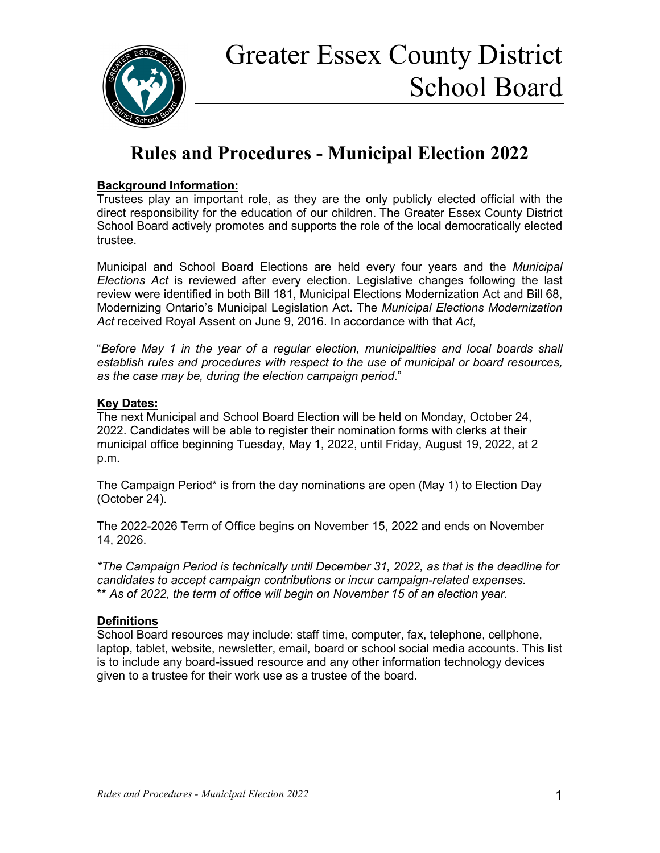

## **Rules and Procedures - Municipal Election 2022**

#### **Background Information:**

Trustees play an important role, as they are the only publicly elected official with the direct responsibility for the education of our children. The Greater Essex County District School Board actively promotes and supports the role of the local democratically elected trustee.

Municipal and School Board Elections are held every four years and the *Municipal Elections Act* is reviewed after every election. Legislative changes following the last review were identified in both Bill 181, Municipal Elections Modernization Act and Bill 68, Modernizing Ontario's Municipal Legislation Act. The *Municipal Elections Modernization Act* received Royal Assent on June 9, 2016. In accordance with that *Act*,

"*Before May 1 in the year of a regular election, municipalities and local boards shall establish rules and procedures with respect to the use of municipal or board resources, as the case may be, during the election campaign period*."

#### **Key Dates:**

The next Municipal and School Board Election will be held on Monday, October 24, 2022. Candidates will be able to register their nomination forms with clerks at their municipal office beginning Tuesday, May 1, 2022, until Friday, August 19, 2022, at 2 p.m.

The Campaign Period\* is from the day nominations are open (May 1) to Election Day (October 24).

The 2022-2026 Term of Office begins on November 15, 2022 and ends on November 14, 2026.

*\*The Campaign Period is technically until December 31, 2022, as that is the deadline for candidates to accept campaign contributions or incur campaign-related expenses.*  \*\* *As of 2022, the term of office will begin on November 15 of an election year.*

### **Definitions**

School Board resources may include: staff time, computer, fax, telephone, cellphone, laptop, tablet, website, newsletter, email, board or school social media accounts. This list is to include any board-issued resource and any other information technology devices given to a trustee for their work use as a trustee of the board.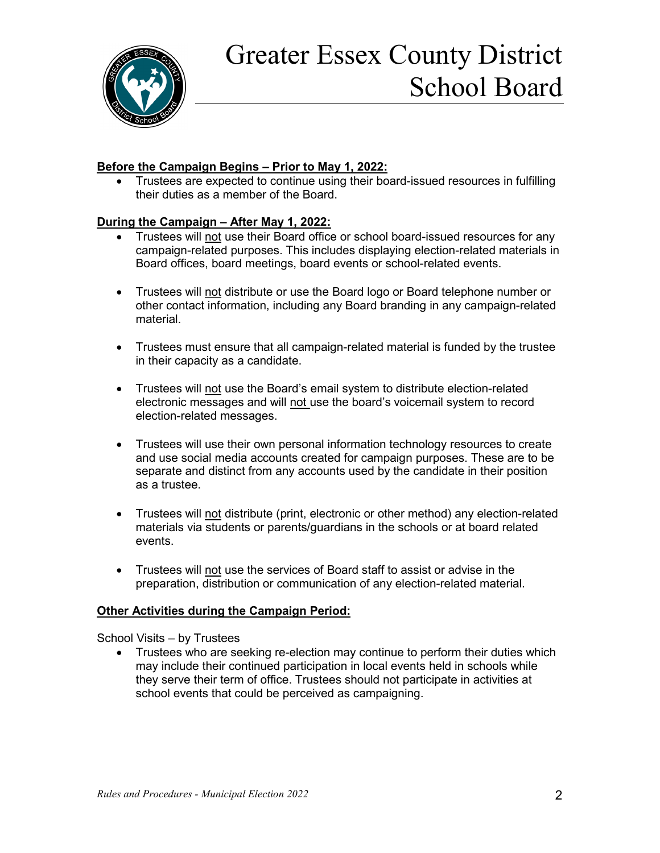

#### **Before the Campaign Begins – Prior to May 1, 2022:**

• Trustees are expected to continue using their board-issued resources in fulfilling their duties as a member of the Board.

#### **During the Campaign – After May 1, 2022:**

- Trustees will not use their Board office or school board-issued resources for any campaign-related purposes. This includes displaying election-related materials in Board offices, board meetings, board events or school-related events.
- Trustees will not distribute or use the Board logo or Board telephone number or other contact information, including any Board branding in any campaign-related material.
- Trustees must ensure that all campaign-related material is funded by the trustee in their capacity as a candidate.
- Trustees will not use the Board's email system to distribute election-related electronic messages and will not use the board's voicemail system to record election-related messages.
- Trustees will use their own personal information technology resources to create and use social media accounts created for campaign purposes. These are to be separate and distinct from any accounts used by the candidate in their position as a trustee.
- Trustees will not distribute (print, electronic or other method) any election-related materials via students or parents/guardians in the schools or at board related events.
- Trustees will not use the services of Board staff to assist or advise in the preparation, distribution or communication of any election-related material.

#### **Other Activities during the Campaign Period:**

School Visits – by Trustees

• Trustees who are seeking re-election may continue to perform their duties which may include their continued participation in local events held in schools while they serve their term of office. Trustees should not participate in activities at school events that could be perceived as campaigning.